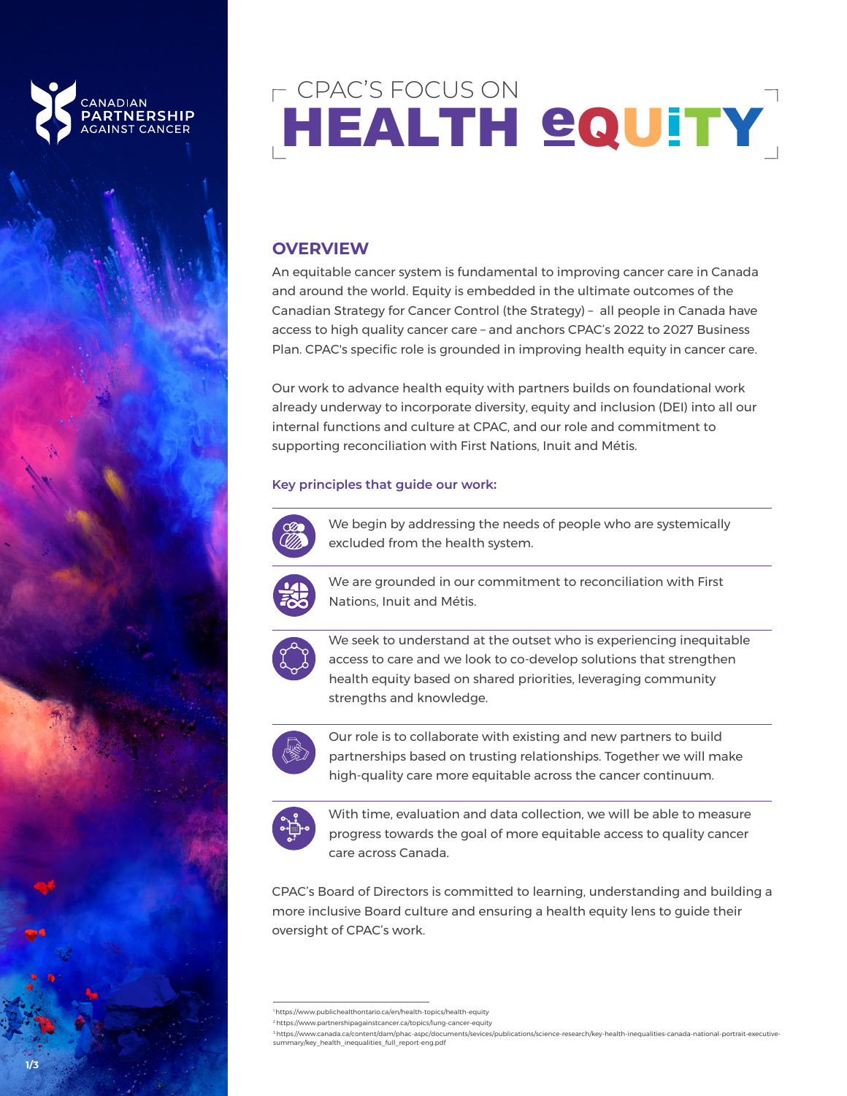

# CPAC'S FOCUS ON HEALTH GQUITY

## **OVERVIEW**

An equitable cancer system is fundamental to improving cancer care in Canada and around the world. Equity is embedded in the ultimate outcomes of the Canadian Strategy for Cancer Control (the Strategy) – all people in Canada have access to high quality cancer care – and anchors CPAC's 2022 to 2027 Business Plan. CPAC's specific role is grounded in improving health equity in cancer care.

Our work to advance health equity with partners builds on foundational work already underway to incorporate diversity, equity and inclusion (DEI) into all our internal functions and culture at CPAC, and our role and commitment to supporting reconciliation with First Nations, Inuit and Métis.

#### **Key principles that guide our work:**



We begin by addressing the needs of people who are systemically excluded from the health system.



We are grounded in our commitment to reconciliation with First Nations, Inuit and Métis.



 $\bullet$  We seek to understand at the outset who is experiencing inequitable access to care and we look to co-develop solutions that strengthen health equity based on shared priorities, leveraging community strengths and knowledge.  $\alpha$  cancer or  $\alpha$ 



Our role is to collaborate with existing and new partners to build partnerships based on trusting relationships. Together we will make high-quality care more equitable across the cancer continuum.



With time, evaluation and data collection, we will be able to measure progress towards the goal of more equitable access to quality cancer care across Canada.

CPAC's Board of Directors is committed to learning, understanding and building a more inclusive Board culture and ensuring a health equity lens to guide their oversight of CPAC's work.

[<sup>1</sup> https://www.publichealthontario.ca/en/health-topics/health-equity](https://www.publichealthontario.ca/en/health-topics/health-equity) 

[<sup>2</sup> https://www.partnershipagainstcancer.ca/topics/lung-cancer-equity](https://www.partnershipagainstcancer.ca/topics/lung-cancer-equity) 

[<sup>3</sup> https://www.canada.ca/content/dam/phac-aspc/documents/sevices/publications/science-research/key-health-inequalities-canada-national-portrait-executive](https://www.canada.ca/content/dam/phac-aspc/documents/services/publications/science-research/key-health-inequalities-canada-national-portrait-executive-summary/key_health_inequalities_full_report-eng.pdf)summary/key\_health\_inequalities\_full\_report-eng.pdf